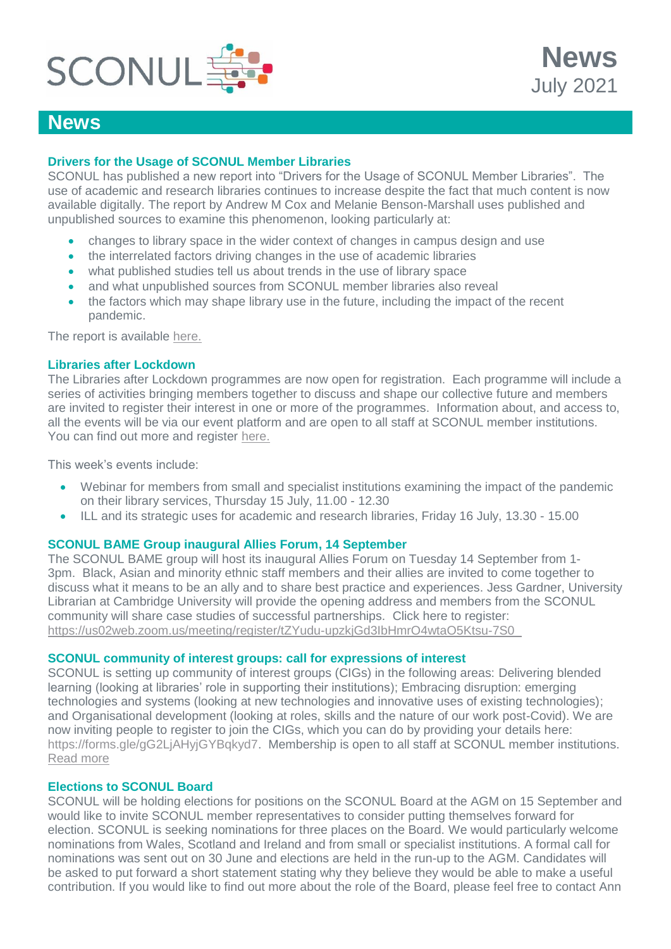

# **News**

### **Drivers for the Usage of SCONUL Member Libraries**

SCONUL has published a new report into "Drivers for the Usage of SCONUL Member Libraries". The use of academic and research libraries continues to increase despite the fact that much content is now available digitally. The report by Andrew M Cox and Melanie Benson-Marshall uses published and unpublished sources to examine this phenomenon, looking particularly at:

- changes to library space in the wider context of changes in campus design and use
- the interrelated factors driving changes in the use of academic libraries
- what published studies tell us about trends in the use of library space
- and what unpublished sources from SCONUL member libraries also reveal
- the factors which may shape library use in the future, including the impact of the recent pandemic.

The report is available [here.](https://www.sconul.ac.uk/news/research-report-on-drivers-for-the-usage-of-sconul-member-libraries)

#### **Libraries after Lockdown**

The Libraries after Lockdown programmes are now open for registration. Each programme will include a series of activities bringing members together to discuss and shape our collective future and members are invited to register their interest in one or more of the programmes. Information about, and access to, all the events will be via our event platform and are open to all staff at SCONUL member institutions. You can find out more and register [here.](https://www.sconul.ac.uk/page/libraries-after-lockdown-a-virtual-collaboration)

This week's events include:

- Webinar for members from small and specialist institutions examining the impact of the pandemic on their library services, Thursday 15 July, 11.00 - 12.30
- ILL and its strategic uses for academic and research libraries, Friday 16 July, 13.30 15.00

### **SCONUL BAME Group inaugural Allies Forum, 14 September**

The SCONUL BAME group will host its inaugural Allies Forum on Tuesday 14 September from 1- 3pm. Black, Asian and minority ethnic staff members and their allies are invited to come together to discuss what it means to be an ally and to share best practice and experiences. Jess Gardner, University Librarian at Cambridge University will provide the opening address and members from the SCONUL community will share case studies of successful partnerships. Click here to register: [https://us02web.zoom.us/meeting/register/tZYudu-upzkjGd3IbHmrO4wtaO5Ktsu-7S0\\_](https://us02web.zoom.us/meeting/register/tZYudu-upzkjGd3IbHmrO4wtaO5Ktsu-7S0_) 

#### **SCONUL community of interest groups: call for expressions of interest**

SCONUL is setting up community of interest groups (CIGs) in the following areas: Delivering blended learning (looking at libraries' role in supporting their institutions); Embracing disruption: emerging technologies and systems (looking at new technologies and innovative uses of existing technologies); and Organisational development (looking at roles, skills and the nature of our work post-Covid). We are now inviting people to register to join the CIGs, which you can do by providing your details here: [https://forms.gle/gG2LjAHyjGYBqkyd7.](https://protect-eu.mimecast.com/s/OsmNCYvLVhLDZF09u-x?domain=forms.gle) Membership is open to all staff at SCONUL member institutions. [Read more](https://www.sconul.ac.uk/page/community-of-interest-groups)

#### **Elections to SCONUL Board**

SCONUL will be holding elections for positions on the SCONUL Board at the AGM on 15 September and would like to invite SCONUL member representatives to consider putting themselves forward for election. SCONUL is seeking nominations for three places on the Board. We would particularly welcome nominations from Wales, Scotland and Ireland and from small or specialist institutions. A formal call for nominations was sent out on 30 June and elections are held in the run-up to the AGM. Candidates will be asked to put forward a short statement stating why they believe they would be able to make a useful contribution. If you would like to find out more about the role of the Board, please feel free to contact Ann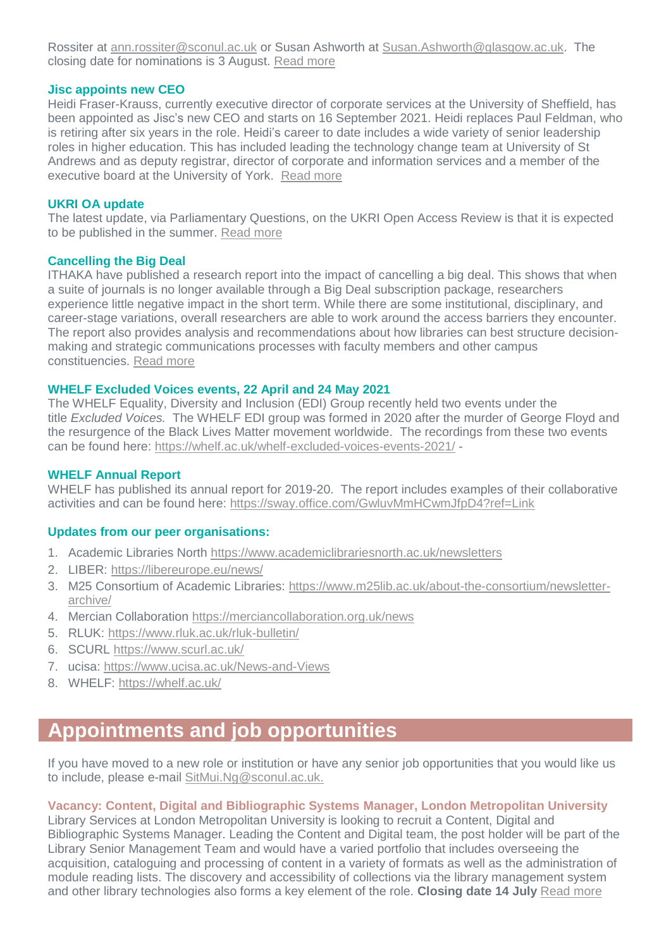Rossiter at [ann.rossiter@sconul.ac.uk](mailto:ann.rossiter@sconul.ac.uk) or Susan Ashworth at [Susan.Ashworth@glasgow.ac.uk.](mailto:Susan.Ashworth@glasgow.ac.uk) The closing date for nominations is 3 August. [Read more](https://www.sconul.ac.uk/page/executive-board-nominations)

### **Jisc appoints new CEO**

Heidi Fraser-Krauss, currently executive director of corporate services at the University of Sheffield, has been appointed as Jisc's new CEO and starts on 16 September 2021. Heidi replaces Paul Feldman, who is retiring after six years in the role. Heidi's career to date includes a wide variety of senior leadership roles in higher education. This has included leading the technology change team at University of St Andrews and as deputy registrar, director of corporate and information services and a member of the executive board at the University of York. [Read more](https://www.jisc.ac.uk/news/heidi-fraser-krauss-announced-as-new-leader-of-jisc-30-jun-2021)

#### **UKRI OA update**

The latest update, via Parliamentary Questions, on the UKRI Open Access Review is that it is expected to be published in the summer. [Read more](https://www.theyworkforyou.com/wrans/?id=2021-06-21.19579.h&s=solloway#g19579.r0)

#### **Cancelling the Big Deal**

ITHAKA have published a research report into the impact of cancelling a big deal. This shows that when a suite of journals is no longer available through a Big Deal subscription package, researchers experience little negative impact in the short term. While there are some institutional, disciplinary, and career-stage variations, overall researchers are able to work around the access barriers they encounter. The report also provides analysis and recommendations about how libraries can best structure decisionmaking and strategic communications processes with faculty members and other campus constituencies. [Read more](https://sr.ithaka.org/publications/whats-the-big-deal/)

#### **WHELF Excluded Voices events, 22 April and 24 May 2021**

The WHELF Equality, Diversity and Inclusion (EDI) Group recently held two events under the title *Excluded Voices.* The WHELF EDI group was formed in 2020 after the murder of George Floyd and the resurgence of the Black Lives Matter movement worldwide. The recordings from these two events can be found here:<https://whelf.ac.uk/whelf-excluded-voices-events-2021/> -

#### **WHELF Annual Report**

WHELF has published its annual report for 2019-20. The report includes examples of their collaborative activities and can be found here:<https://sway.office.com/GwluvMmHCwmJfpD4?ref=Link>

#### **Updates from our peer organisations:**

- 1. Academic Libraries North<https://www.academiclibrariesnorth.ac.uk/newsletters>
- 2. LIBER:<https://libereurope.eu/news/>
- 3. M25 Consortium of Academic Libraries: [https://www.m25lib.ac.uk/about-the-consortium/newsletter](https://www.m25lib.ac.uk/about-the-consortium/newsletter-archive/)[archive/](https://www.m25lib.ac.uk/about-the-consortium/newsletter-archive/)
- 4. Mercian Collaboration <https://merciancollaboration.org.uk/news>
- 5. RLUK:<https://www.rluk.ac.uk/rluk-bulletin/>
- 6. SCURL<https://www.scurl.ac.uk/>
- 7. ucisa:<https://www.ucisa.ac.uk/News-and-Views>
- 8. WHELF:<https://whelf.ac.uk/>

# **Appointments and job opportunities**

If you have moved to a new role or institution or have any senior job opportunities that you would like us to include, please e-mail [SitMui.Ng@sconul.ac.uk.](mailto:SitMui.Ng@sconul.ac.uk)

#### **Vacancy: Content, Digital and Bibliographic Systems Manager, London Metropolitan University**

Library Services at London Metropolitan University is looking to recruit a Content, Digital and Bibliographic Systems Manager. Leading the Content and Digital team, the post holder will be part of the Library Senior Management Team and would have a varied portfolio that includes overseeing the acquisition, cataloguing and processing of content in a variety of formats as well as the administration of module reading lists. The discovery and accessibility of collections via the library management system and other library technologies also forms a key element of the role. **Closing date 14 July** [Read more](https://erec.londonmet.ac.uk/sap/bc/webdynpro/sap/hrrcf_a_posting_apply?PARAM=cG9zdF9pbnN0X2d1aWQ9MDA1MDU2QkE0N0FFMUVEQkI1QjUyOUIwM0IzQzVGOEYmY2FuZF90eXBlPUVYVA%3d%3d&sap-theme=sap_tradeshow_plus&sap-client=900&sap-language=EN)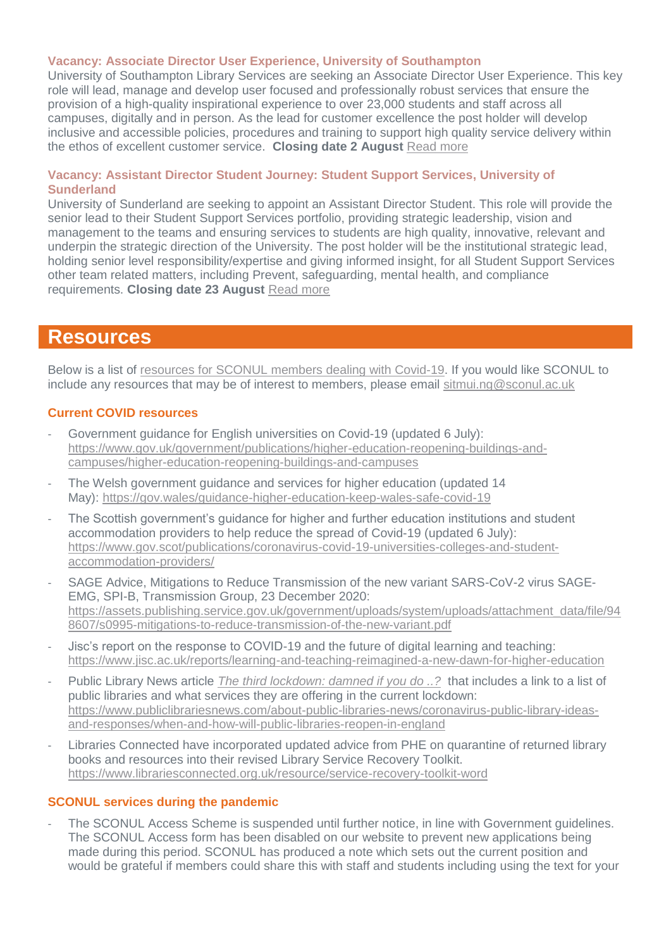#### **Vacancy: Associate Director User Experience, University of Southampton**

University of Southampton Library Services are seeking an Associate Director User Experience. This key role will lead, manage and develop user focused and professionally robust services that ensure the provision of a high-quality inspirational experience to over 23,000 students and staff across all campuses, digitally and in person. As the lead for customer excellence the post holder will develop inclusive and accessible policies, procedures and training to support high quality service delivery within the ethos of excellent customer service. **Closing date 2 August** [Read more](https://jobs.soton.ac.uk/Vacancy.aspx?ref=1420021KX)

#### **Vacancy: Assistant Director Student Journey: Student Support Services, University of Sunderland**

University of Sunderland are seeking to appoint an Assistant Director Student. This role will provide the senior lead to their Student Support Services portfolio, providing strategic leadership, vision and management to the teams and ensuring services to students are high quality, innovative, relevant and underpin the strategic direction of the University. The post holder will be the institutional strategic lead, holding senior level responsibility/expertise and giving informed insight, for all Student Support Services other team related matters, including Prevent, safeguarding, mental health, and compliance requirements. **Closing date 23 August** [Read more](https://jobs.sunderland.ac.uk/Vacancy.aspx?ref=0312-21)

## **Resources**

Below is a list of [resources for SCONUL members dealing with Covid-19.](https://www.sconul.ac.uk/page/resources-for-sconul-members-dealing-with-covid-19) If you would like SCONUL to include any resources that may be of interest to members, please email [sitmui.ng@sconul.ac.uk](mailto:sitmui.ng@sconul.ac.uk)

#### **Current COVID resources**

- Government guidance for English universities on Covid-19 (updated 6 July): [https://www.gov.uk/government/publications/higher-education-reopening-buildings-and](https://www.gov.uk/government/publications/higher-education-reopening-buildings-and-campuses/higher-education-reopening-buildings-and-campuses)[campuses/higher-education-reopening-buildings-and-campuses](https://www.gov.uk/government/publications/higher-education-reopening-buildings-and-campuses/higher-education-reopening-buildings-and-campuses)
- The Welsh government guidance and services for higher education (updated 14 May): <https://gov.wales/guidance-higher-education-keep-wales-safe-covid-19>
- The Scottish government's guidance for higher and further education institutions and student accommodation providers to help reduce the spread of Covid-19 (updated 6 July): [https://www.gov.scot/publications/coronavirus-covid-19-universities-colleges-and-student](https://www.gov.scot/publications/coronavirus-covid-19-universities-colleges-and-student-accommodation-providers/)[accommodation-providers/](https://www.gov.scot/publications/coronavirus-covid-19-universities-colleges-and-student-accommodation-providers/)
- SAGE Advice, Mitigations to Reduce Transmission of the new variant SARS-CoV-2 virus SAGE-EMG, SPI-B, Transmission Group, 23 December 2020: [https://assets.publishing.service.gov.uk/government/uploads/system/uploads/attachment\\_data/file/94](https://assets.publishing.service.gov.uk/government/uploads/system/uploads/attachment_data/file/948607/s0995-mitigations-to-reduce-transmission-of-the-new-variant.pdf) [8607/s0995-mitigations-to-reduce-transmission-of-the-new-variant.pdf](https://assets.publishing.service.gov.uk/government/uploads/system/uploads/attachment_data/file/948607/s0995-mitigations-to-reduce-transmission-of-the-new-variant.pdf)
- Jisc's report on the response to COVID-19 and the future of digital learning and teaching: <https://www.jisc.ac.uk/reports/learning-and-teaching-reimagined-a-new-dawn-for-higher-education>
- Public Library News article *[The third lockdown: damned if you do ..?](https://www.publiclibrariesnews.com/)* that includes a link to a list of public libraries and what services they are offering in the current lockdown: [https://www.publiclibrariesnews.com/about-public-libraries-news/coronavirus-public-library-ideas](https://www.publiclibrariesnews.com/about-public-libraries-news/coronavirus-public-library-ideas-and-responses/when-and-how-will-public-libraries-reopen-in-england)[and-responses/when-and-how-will-public-libraries-reopen-in-england](https://www.publiclibrariesnews.com/about-public-libraries-news/coronavirus-public-library-ideas-and-responses/when-and-how-will-public-libraries-reopen-in-england)
- Libraries Connected have incorporated updated advice from PHE on quarantine of returned library books and resources into their revised Library Service Recovery Toolkit. <https://www.librariesconnected.org.uk/resource/service-recovery-toolkit-word>

#### **SCONUL services during the pandemic**

The SCONUL Access Scheme is suspended until further notice, in line with Government quidelines. The SCONUL Access form has been disabled on our website to prevent new applications being made during this period. SCONUL has produced a note which sets out the current position and would be grateful if members could share this with staff and students including using the text for your